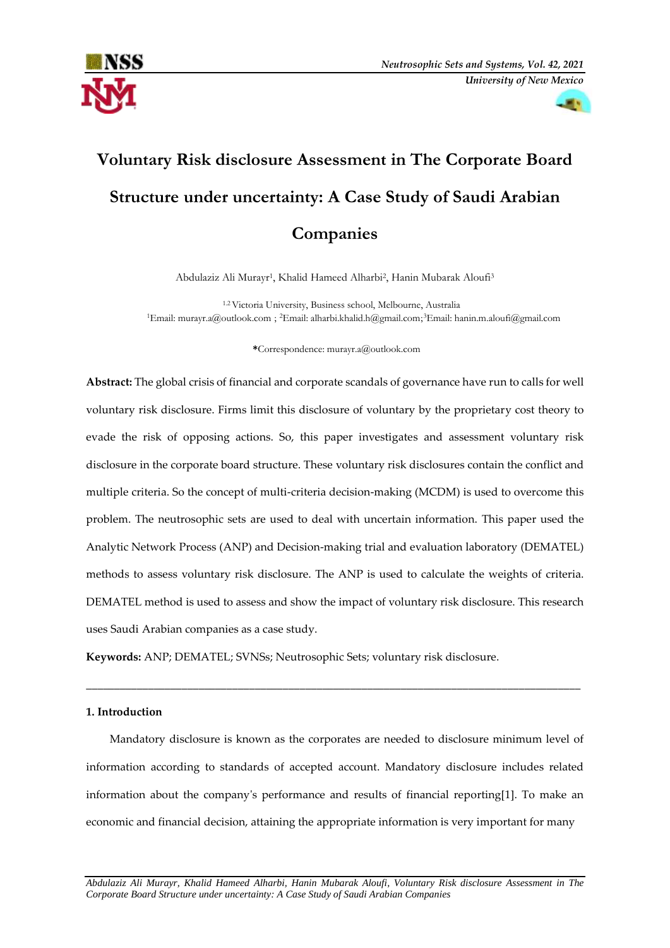



# **Voluntary Risk disclosure Assessment in The Corporate Board Structure under uncertainty: A Case Study of Saudi Arabian Companies**

Abdulaziz Ali Murayr1, Khalid Hameed Alharbi2, Hanin Mubarak Aloufi3

 <sup>1</sup>.2 Victoria University, Business school, Melbourne, Australia 1 Email: murayr.a@outlook.com ; <sup>2</sup> Email: alharbi.khalid.h@gmail.com; 3 Email: hanin.m.aloufi@gmail.com

 **\***Correspondence: murayr.a@outlook.com

**Abstract:** The global crisis of financial and corporate scandals of governance have run to calls for well voluntary risk disclosure. Firms limit this disclosure of voluntary by the proprietary cost theory to evade the risk of opposing actions. So, this paper investigates and assessment voluntary risk disclosure in the corporate board structure. These voluntary risk disclosures contain the conflict and multiple criteria. So the concept of multi-criteria decision-making (MCDM) is used to overcome this problem. The neutrosophic sets are used to deal with uncertain information. This paper used the Analytic Network Process (ANP) and Decision-making trial and evaluation laboratory (DEMATEL) methods to assess voluntary risk disclosure. The ANP is used to calculate the weights of criteria. DEMATEL method is used to assess and show the impact of voluntary risk disclosure. This research uses Saudi Arabian companies as a case study.

**Keywords:** ANP; DEMATEL; SVNSs; Neutrosophic Sets; voluntary risk disclosure.

# **1. Introduction**

Mandatory disclosure is known as the corporates are needed to disclosure minimum level of information according to standards of accepted account. Mandatory disclosure includes related information about the company's performance and results of financial reporting[1]. To make an economic and financial decision, attaining the appropriate information is very important for many

\_\_\_\_\_\_\_\_\_\_\_\_\_\_\_\_\_\_\_\_\_\_\_\_\_\_\_\_\_\_\_\_\_\_\_\_\_\_\_\_\_\_\_\_\_\_\_\_\_\_\_\_\_\_\_\_\_\_\_\_\_\_\_\_\_\_\_\_\_\_\_\_\_\_\_\_\_\_\_\_\_\_\_\_\_\_\_\_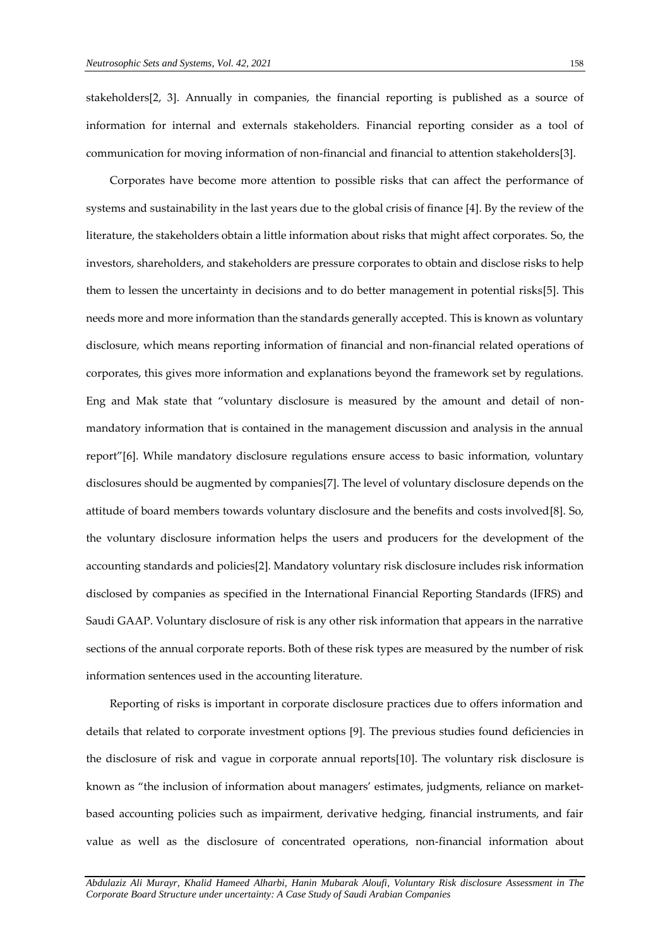stakeholders[2, 3]. Annually in companies, the financial reporting is published as a source of information for internal and externals stakeholders. Financial reporting consider as a tool of communication for moving information of non-financial and financial to attention stakeholders[3].

Corporates have become more attention to possible risks that can affect the performance of systems and sustainability in the last years due to the global crisis of finance [4]. By the review of the literature, the stakeholders obtain a little information about risks that might affect corporates. So, the investors, shareholders, and stakeholders are pressure corporates to obtain and disclose risks to help them to lessen the uncertainty in decisions and to do better management in potential risks[5]. This needs more and more information than the standards generally accepted. This is known as voluntary disclosure, which means reporting information of financial and non-financial related operations of corporates, this gives more information and explanations beyond the framework set by regulations. Eng and Mak state that "voluntary disclosure is measured by the amount and detail of nonmandatory information that is contained in the management discussion and analysis in the annual report"[6]. While mandatory disclosure regulations ensure access to basic information, voluntary disclosures should be augmented by companies[7]. The level of voluntary disclosure depends on the attitude of board members towards voluntary disclosure and the benefits and costs involved[8]. So, the voluntary disclosure information helps the users and producers for the development of the accounting standards and policies[2]. Mandatory voluntary risk disclosure includes risk information disclosed by companies as specified in the International Financial Reporting Standards (IFRS) and Saudi GAAP. Voluntary disclosure of risk is any other risk information that appears in the narrative sections of the annual corporate reports. Both of these risk types are measured by the number of risk information sentences used in the accounting literature.

Reporting of risks is important in corporate disclosure practices due to offers information and details that related to corporate investment options [9]. The previous studies found deficiencies in the disclosure of risk and vague in corporate annual reports[10]. The voluntary risk disclosure is known as "the inclusion of information about managers' estimates, judgments, reliance on marketbased accounting policies such as impairment, derivative hedging, financial instruments, and fair value as well as the disclosure of concentrated operations, non-financial information about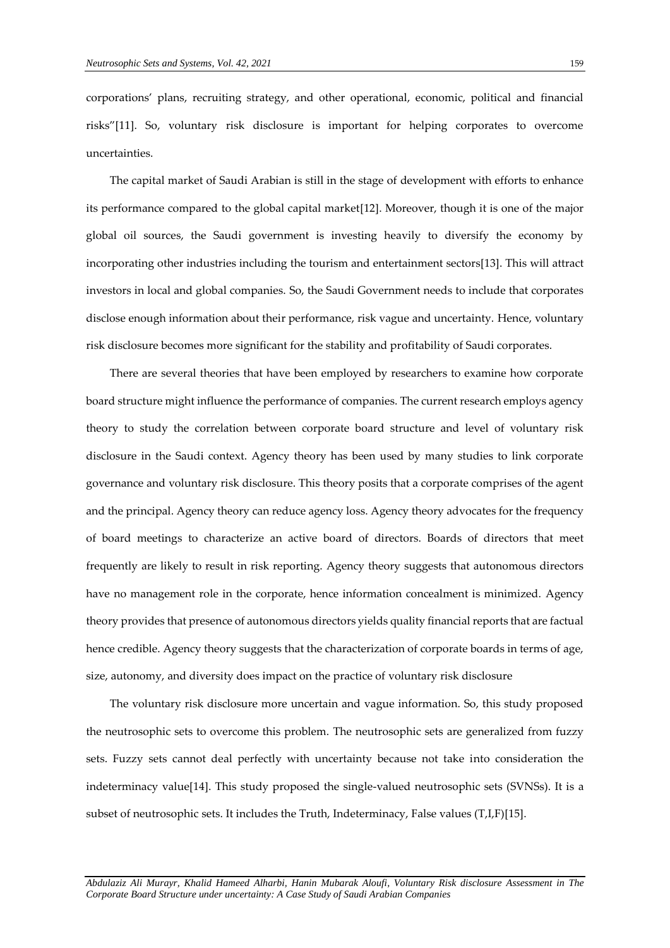corporations' plans, recruiting strategy, and other operational, economic, political and financial risks"[11]. So, voluntary risk disclosure is important for helping corporates to overcome uncertainties.

The capital market of Saudi Arabian is still in the stage of development with efforts to enhance its performance compared to the global capital market[12]. Moreover, though it is one of the major global oil sources, the Saudi government is investing heavily to diversify the economy by incorporating other industries including the tourism and entertainment sectors[13]. This will attract investors in local and global companies. So, the Saudi Government needs to include that corporates disclose enough information about their performance, risk vague and uncertainty. Hence, voluntary risk disclosure becomes more significant for the stability and profitability of Saudi corporates.

There are several theories that have been employed by researchers to examine how corporate board structure might influence the performance of companies. The current research employs agency theory to study the correlation between corporate board structure and level of voluntary risk disclosure in the Saudi context. Agency theory has been used by many studies to link corporate governance and voluntary risk disclosure. This theory posits that a corporate comprises of the agent and the principal. Agency theory can reduce agency loss. Agency theory advocates for the frequency of board meetings to characterize an active board of directors. Boards of directors that meet frequently are likely to result in risk reporting. Agency theory suggests that autonomous directors have no management role in the corporate, hence information concealment is minimized. Agency theory provides that presence of autonomous directors yields quality financial reports that are factual hence credible. Agency theory suggests that the characterization of corporate boards in terms of age, size, autonomy, and diversity does impact on the practice of voluntary risk disclosure

The voluntary risk disclosure more uncertain and vague information. So, this study proposed the neutrosophic sets to overcome this problem. The neutrosophic sets are generalized from fuzzy sets. Fuzzy sets cannot deal perfectly with uncertainty because not take into consideration the indeterminacy value[14]. This study proposed the single-valued neutrosophic sets (SVNSs). It is a subset of neutrosophic sets. It includes the Truth, Indeterminacy, False values (T,I,F)[15].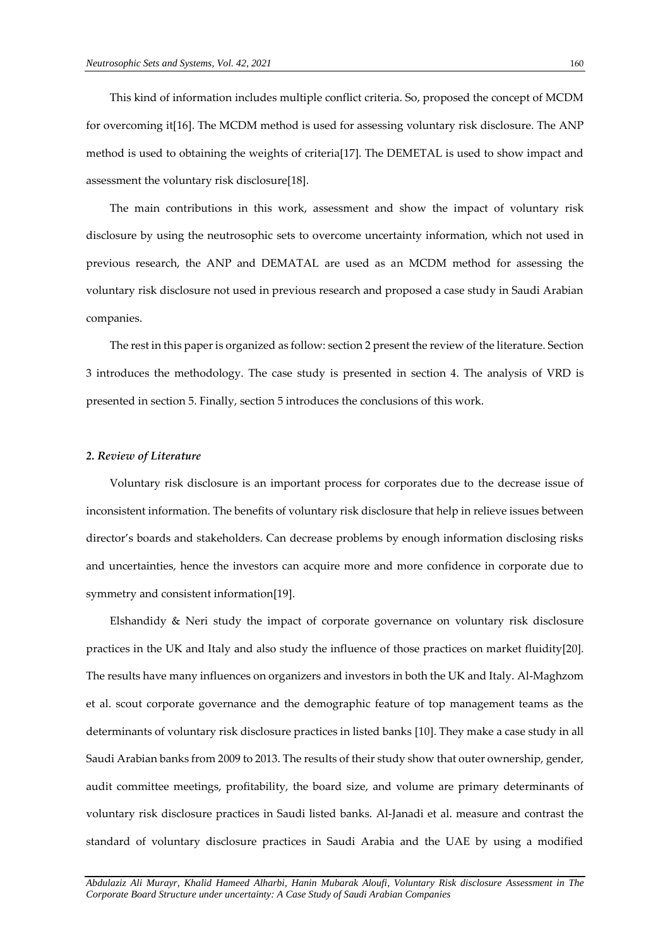This kind of information includes multiple conflict criteria. So, proposed the concept of MCDM for overcoming it[16]. The MCDM method is used for assessing voluntary risk disclosure. The ANP method is used to obtaining the weights of criteria[17]. The DEMETAL is used to show impact and assessment the voluntary risk disclosure[18].

The main contributions in this work, assessment and show the impact of voluntary risk disclosure by using the neutrosophic sets to overcome uncertainty information, which not used in previous research, the ANP and DEMATAL are used as an MCDM method for assessing the voluntary risk disclosure not used in previous research and proposed a case study in Saudi Arabian companies.

The rest in this paper is organized as follow: section 2 present the review of the literature. Section 3 introduces the methodology. The case study is presented in section 4. The analysis of VRD is presented in section 5. Finally, section 5 introduces the conclusions of this work.

#### *2. Review of Literature*

Voluntary risk disclosure is an important process for corporates due to the decrease issue of inconsistent information. The benefits of voluntary risk disclosure that help in relieve issues between director's boards and stakeholders. Can decrease problems by enough information disclosing risks and uncertainties, hence the investors can acquire more and more confidence in corporate due to symmetry and consistent information[19].

Elshandidy & Neri study the impact of corporate governance on voluntary risk disclosure practices in the UK and Italy and also study the influence of those practices on market fluidity[20]. The results have many influences on organizers and investors in both the UK and Italy. Al-Maghzom et al. scout corporate governance and the demographic feature of top management teams as the determinants of voluntary risk disclosure practices in listed banks [10]. They make a case study in all Saudi Arabian banks from 2009 to 2013. The results of their study show that outer ownership, gender, audit committee meetings, profitability, the board size, and volume are primary determinants of voluntary risk disclosure practices in Saudi listed banks. Al-Janadi et al. measure and contrast the standard of voluntary disclosure practices in Saudi Arabia and the UAE by using a modified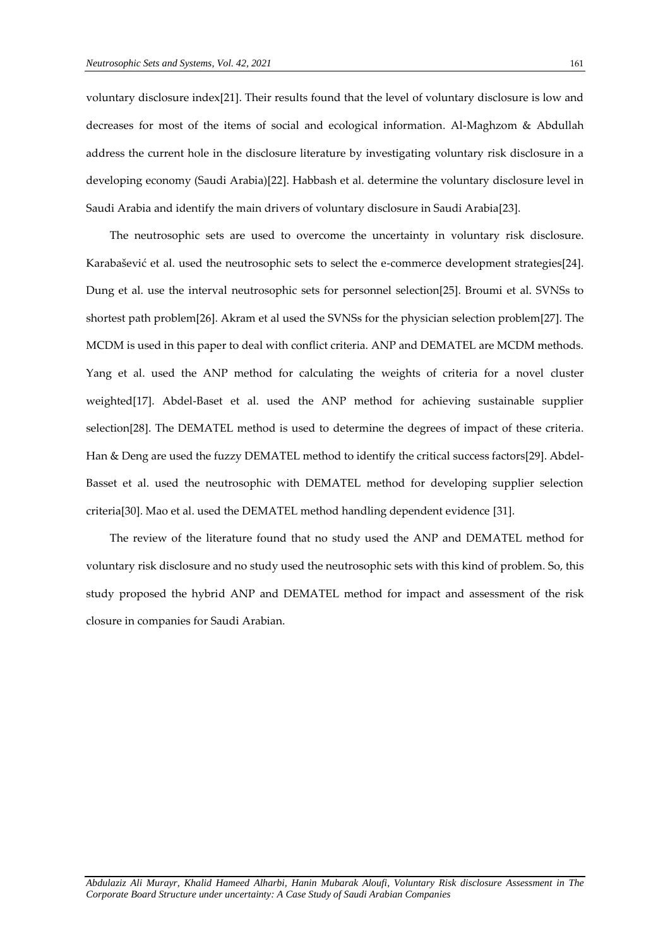voluntary disclosure index[21]. Their results found that the level of voluntary disclosure is low and decreases for most of the items of social and ecological information. Al-Maghzom & Abdullah address the current hole in the disclosure literature by investigating voluntary risk disclosure in a developing economy (Saudi Arabia)[22]. Habbash et al. determine the voluntary disclosure level in Saudi Arabia and identify the main drivers of voluntary disclosure in Saudi Arabia[23].

The neutrosophic sets are used to overcome the uncertainty in voluntary risk disclosure. Karabašević et al. used the neutrosophic sets to select the e-commerce development strategies[24]. Dung et al. use the interval neutrosophic sets for personnel selection[25]. Broumi et al. SVNSs to shortest path problem[26]. Akram et al used the SVNSs for the physician selection problem[27]. The MCDM is used in this paper to deal with conflict criteria. ANP and DEMATEL are MCDM methods. Yang et al. used the ANP method for calculating the weights of criteria for a novel cluster weighted[17]. Abdel-Baset et al. used the ANP method for achieving sustainable supplier selection[28]. The DEMATEL method is used to determine the degrees of impact of these criteria. Han & Deng are used the fuzzy DEMATEL method to identify the critical success factors[29]. Abdel-Basset et al. used the neutrosophic with DEMATEL method for developing supplier selection criteria[30]. Mao et al. used the DEMATEL method handling dependent evidence [31].

The review of the literature found that no study used the ANP and DEMATEL method for voluntary risk disclosure and no study used the neutrosophic sets with this kind of problem. So, this study proposed the hybrid ANP and DEMATEL method for impact and assessment of the risk closure in companies for Saudi Arabian.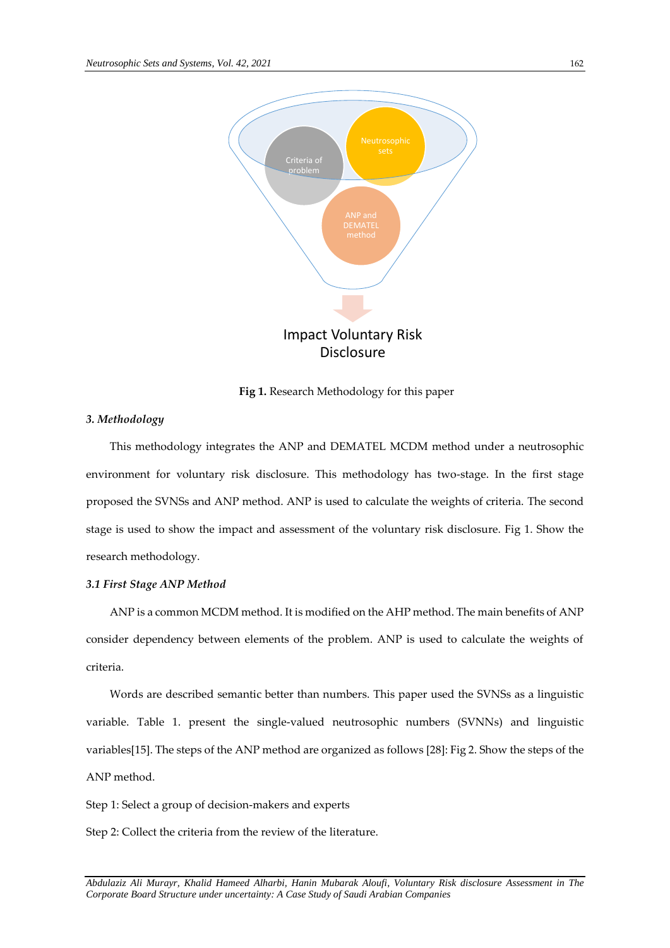

**Fig 1.** Research Methodology for this paper

#### *3. Methodology*

This methodology integrates the ANP and DEMATEL MCDM method under a neutrosophic environment for voluntary risk disclosure. This methodology has two-stage. In the first stage proposed the SVNSs and ANP method. ANP is used to calculate the weights of criteria. The second stage is used to show the impact and assessment of the voluntary risk disclosure. Fig 1. Show the research methodology.

# *3.1 First Stage ANP Method*

ANP is a common MCDM method. It is modified on the AHP method. The main benefits of ANP consider dependency between elements of the problem. ANP is used to calculate the weights of criteria.

Words are described semantic better than numbers. This paper used the SVNSs as a linguistic variable. Table 1. present the single-valued neutrosophic numbers (SVNNs) and linguistic variables[15]. The steps of the ANP method are organized as follows [28]: Fig 2. Show the steps of the ANP method.

Step 1: Select a group of decision-makers and experts

Step 2: Collect the criteria from the review of the literature.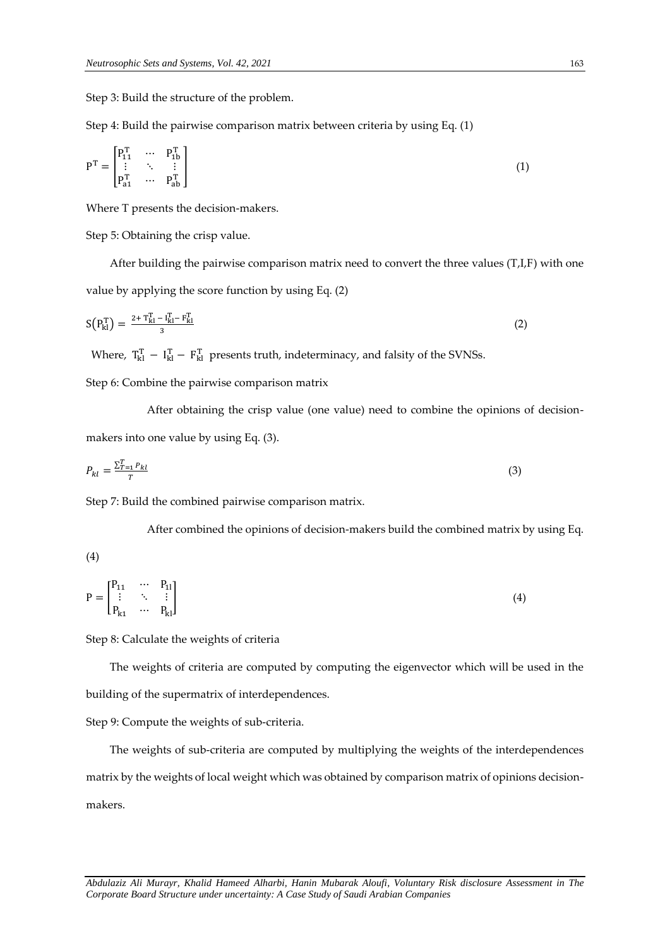Step 3: Build the structure of the problem.

Step 4: Build the pairwise comparison matrix between criteria by using Eq. (1)

$$
P^{T} = \begin{bmatrix} P_{11}^{T} & \cdots & P_{1b}^{T} \\ \vdots & \ddots & \vdots \\ P_{a1}^{T} & \cdots & P_{ab}^{T} \end{bmatrix}
$$
 (1)

Where T presents the decision-makers.

Step 5: Obtaining the crisp value.

After building the pairwise comparison matrix need to convert the three values (T,I,F) with one value by applying the score function by using Eq. (2)

$$
S(P_{kl}^T) = \frac{2 + T_{kl}^T - I_{kl}^T - F_{kl}^T}{3}
$$
 (2)

Where,  $T_{kl}^T - I_{kl}^T - F_{kl}^T$  presents truth, indeterminacy, and falsity of the SVNSs.

Step 6: Combine the pairwise comparison matrix

After obtaining the crisp value (one value) need to combine the opinions of decisionmakers into one value by using Eq. (3).

$$
P_{kl} = \frac{\sum_{t=1}^{T} P_{kl}}{T} \tag{3}
$$

Step 7: Build the combined pairwise comparison matrix.

After combined the opinions of decision-makers build the combined matrix by using Eq.

$$
^{(4)}
$$

$$
P = \begin{bmatrix} P_{11} & \cdots & P_{11} \\ \vdots & \ddots & \vdots \\ P_{k1} & \cdots & P_{kl} \end{bmatrix}
$$
 (4)

Step 8: Calculate the weights of criteria

The weights of criteria are computed by computing the eigenvector which will be used in the building of the supermatrix of interdependences.

Step 9: Compute the weights of sub-criteria.

The weights of sub-criteria are computed by multiplying the weights of the interdependences matrix by the weights of local weight which was obtained by comparison matrix of opinions decisionmakers.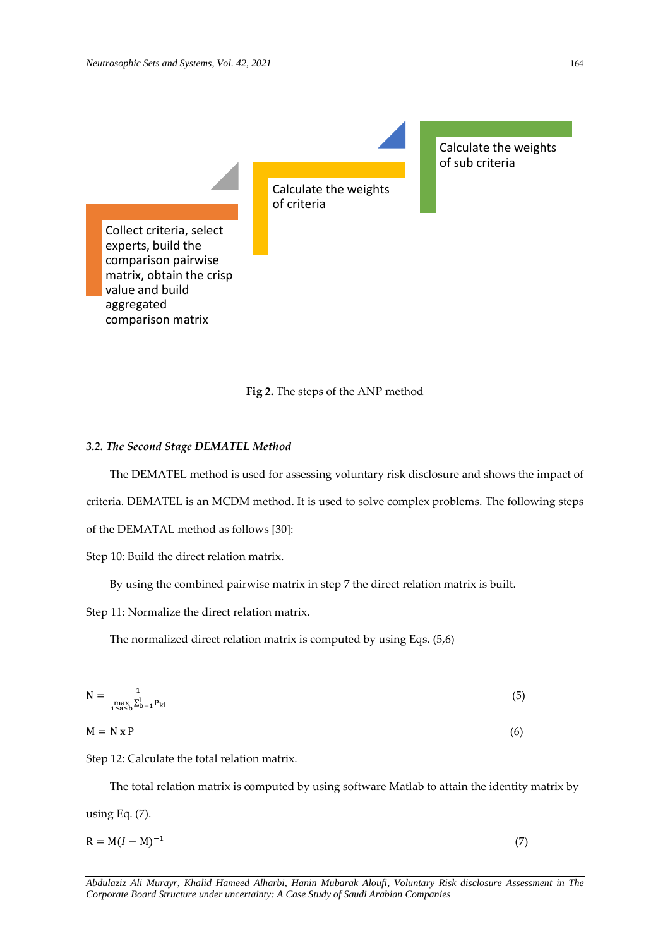Calculate the weights of criteria

Calculate the weights of sub criteria

Collect criteria, select experts, build the comparison pairwise matrix, obtain the crisp value and build aggregated comparison matrix

# **Fig 2.** The steps of the ANP method

### *3.2. The Second Stage DEMATEL Method*

The DEMATEL method is used for assessing voluntary risk disclosure and shows the impact of criteria. DEMATEL is an MCDM method. It is used to solve complex problems. The following steps of the DEMATAL method as follows [30]:

Step 10: Build the direct relation matrix.

By using the combined pairwise matrix in step 7 the direct relation matrix is built.

Step 11: Normalize the direct relation matrix.

The normalized direct relation matrix is computed by using Eqs. (5,6)

$$
N = \frac{1}{\max_{1 \le a \le b} \sum_{b=1}^{l} P_{kl}}\tag{5}
$$

$$
M = N \times P \tag{6}
$$

Step 12: Calculate the total relation matrix.

The total relation matrix is computed by using software Matlab to attain the identity matrix by using Eq. (7).

 $R = M(I - M)^{-1}$ (7)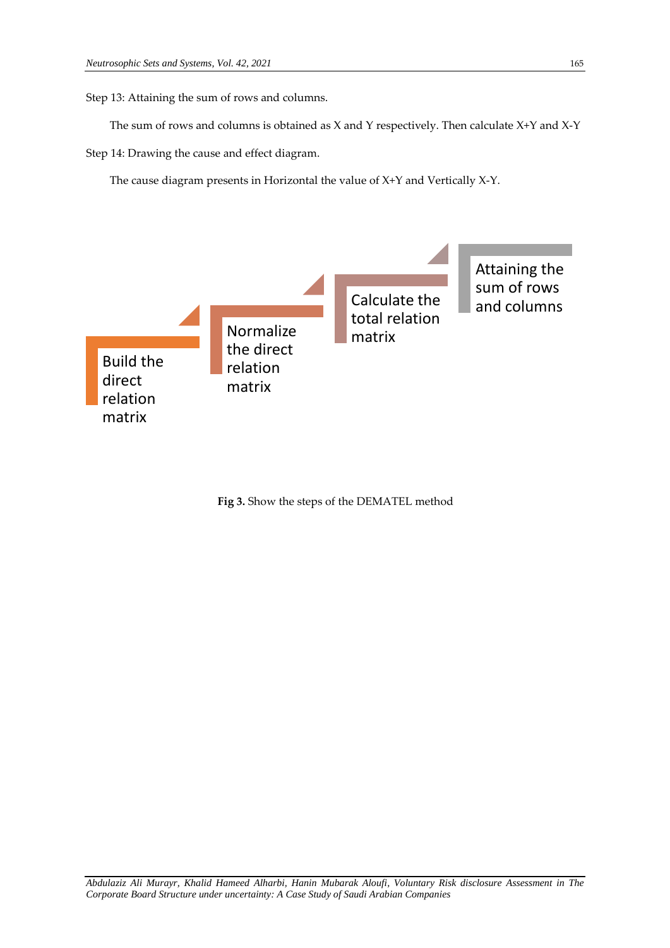Step 13: Attaining the sum of rows and columns.

The sum of rows and columns is obtained as X and Y respectively. Then calculate X+Y and X-Y

Step 14: Drawing the cause and effect diagram.

The cause diagram presents in Horizontal the value of X+Y and Vertically X-Y.



**Fig 3.** Show the steps of the DEMATEL method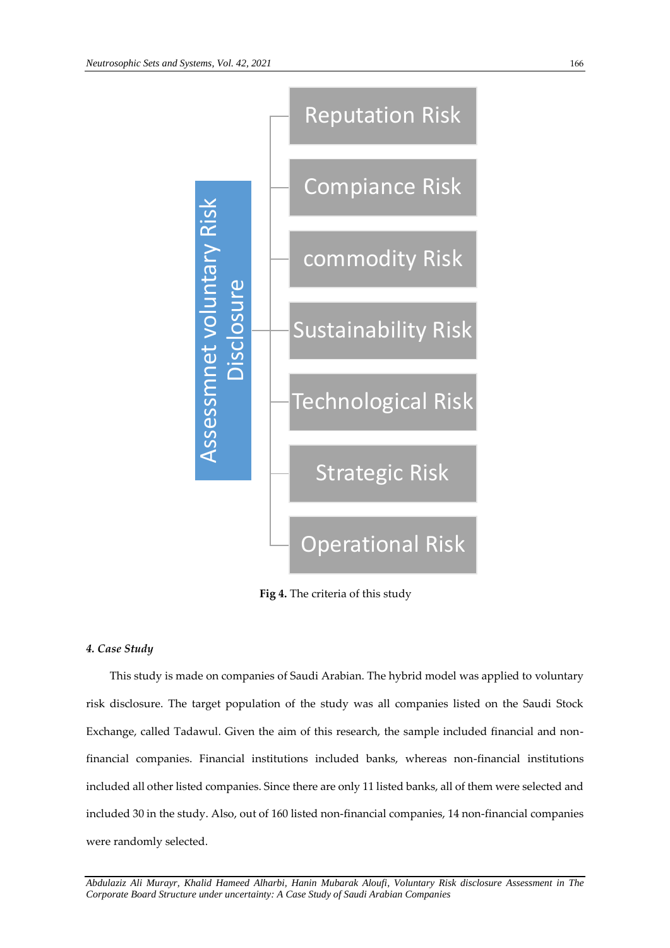

**Fig 4.** The criteria of this study

# *4. Case Study*

This study is made on companies of Saudi Arabian. The hybrid model was applied to voluntary risk disclosure. The target population of the study was all companies listed on the Saudi Stock Exchange, called Tadawul. Given the aim of this research, the sample included financial and nonfinancial companies. Financial institutions included banks, whereas non-financial institutions included all other listed companies. Since there are only 11 listed banks, all of them were selected and included 30 in the study. Also, out of 160 listed non-financial companies, 14 non-financial companies were randomly selected.<br>Assessment volumes and the selection of the selection of the selection of the selection<br>of this study is made on<br>risk disclosure. The target<br>Exchange, called Tadawul.<br>financial companies. Fina<br>inclu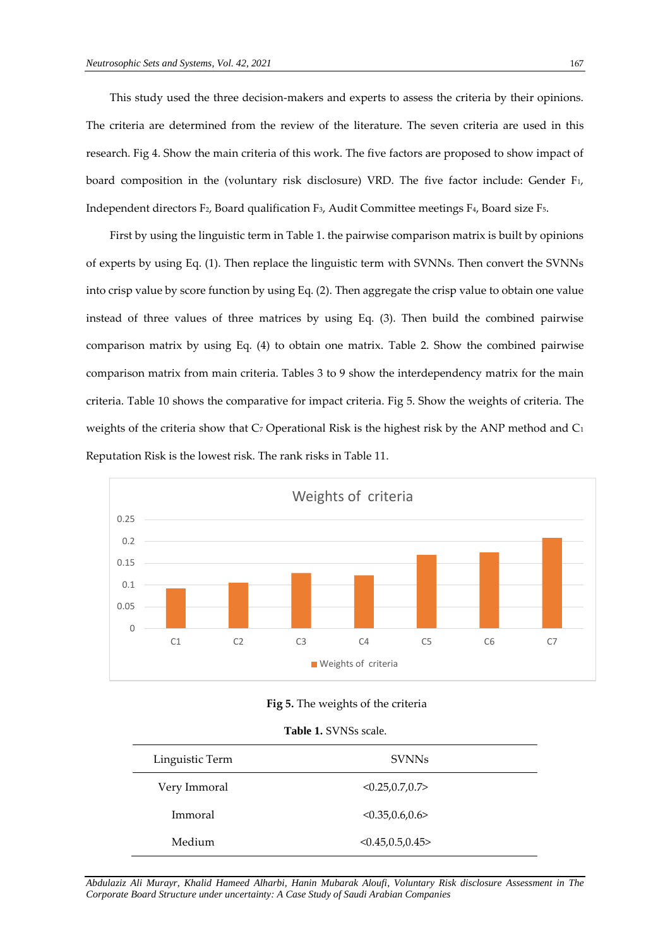This study used the three decision-makers and experts to assess the criteria by their opinions. The criteria are determined from the review of the literature. The seven criteria are used in this research. Fig 4. Show the main criteria of this work. The five factors are proposed to show impact of board composition in the (voluntary risk disclosure) VRD. The five factor include: Gender F1, Independent directors F2, Board qualification F3, Audit Committee meetings F4, Board size F5.

First by using the linguistic term in Table 1. the pairwise comparison matrix is built by opinions of experts by using Eq. (1). Then replace the linguistic term with SVNNs. Then convert the SVNNs into crisp value by score function by using Eq. (2). Then aggregate the crisp value to obtain one value instead of three values of three matrices by using Eq. (3). Then build the combined pairwise comparison matrix by using Eq. (4) to obtain one matrix. Table 2. Show the combined pairwise comparison matrix from main criteria. Tables 3 to 9 show the interdependency matrix for the main criteria. Table 10 shows the comparative for impact criteria. Fig 5. Show the weights of criteria. The weights of the criteria show that  $C_7$  Operational Risk is the highest risk by the ANP method and  $C_1$ Reputation Risk is the lowest risk. The rank risks in Table 11.



#### **Fig 5.** The weights of the criteria

|  | <b>Table 1. SVNSs scale.</b> |  |
|--|------------------------------|--|
|--|------------------------------|--|

| Linguistic Term | <b>SVNNs</b>      |  |
|-----------------|-------------------|--|
| Very Immoral    | < 0.25, 0.7, 0.7  |  |
| Immoral         | < 0.35, 0.6, 0.6  |  |
| Medium          | < 0.45, 0.5, 0.45 |  |
|                 |                   |  |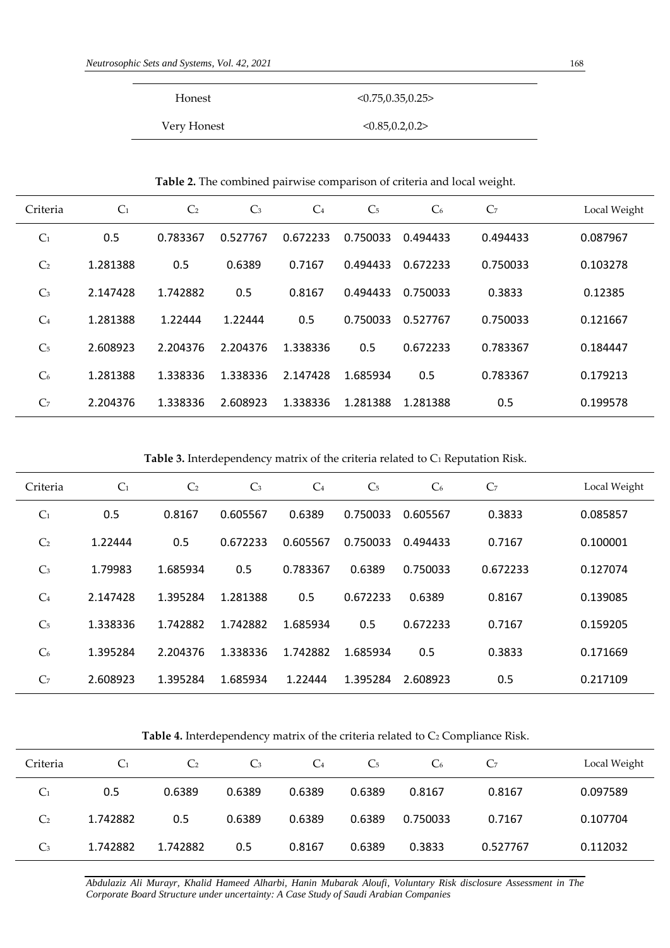| Honest      | < 0.75.0.35.0.25   |
|-------------|--------------------|
| Very Honest | < 0.85, 0.2, 0.2 > |

**Table 2.** The combined pairwise comparison of criteria and local weight.

| Criteria       | C <sub>1</sub> | C <sub>2</sub> | C <sub>3</sub> | C <sub>4</sub> | C <sub>5</sub> | C <sub>6</sub> | C <sub>7</sub> | Local Weight |
|----------------|----------------|----------------|----------------|----------------|----------------|----------------|----------------|--------------|
| C <sub>1</sub> | 0.5            | 0.783367       | 0.527767       | 0.672233       | 0.750033       | 0.494433       | 0.494433       | 0.087967     |
| C <sub>2</sub> | 1.281388       | 0.5            | 0.6389         | 0.7167         | 0.494433       | 0.672233       | 0.750033       | 0.103278     |
| C <sub>3</sub> | 2.147428       | 1.742882       | 0.5            | 0.8167         | 0.494433       | 0.750033       | 0.3833         | 0.12385      |
| C <sub>4</sub> | 1.281388       | 1.22444        | 1.22444        | 0.5            | 0.750033       | 0.527767       | 0.750033       | 0.121667     |
| C <sub>5</sub> | 2.608923       | 2.204376       | 2.204376       | 1.338336       | 0.5            | 0.672233       | 0.783367       | 0.184447     |
| C <sub>6</sub> | 1.281388       | 1.338336       | 1.338336       | 2.147428       | 1.685934       | 0.5            | 0.783367       | 0.179213     |
| C <sub>7</sub> | 2.204376       | 1.338336       | 2.608923       | 1.338336       | 1.281388       | 1.281388       | 0.5            | 0.199578     |

Table 3. Interdependency matrix of the criteria related to C<sub>1</sub> Reputation Risk.

| Criteria       | C <sub>1</sub> | C <sub>2</sub> | C <sub>3</sub> | C <sub>4</sub> | C <sub>5</sub> | C <sub>6</sub> | C <sub>7</sub> | Local Weight |
|----------------|----------------|----------------|----------------|----------------|----------------|----------------|----------------|--------------|
| C <sub>1</sub> | 0.5            | 0.8167         | 0.605567       | 0.6389         | 0.750033       | 0.605567       | 0.3833         | 0.085857     |
| C <sub>2</sub> | 1.22444        | 0.5            | 0.672233       | 0.605567       | 0.750033       | 0.494433       | 0.7167         | 0.100001     |
| C <sub>3</sub> | 1.79983        | 1.685934       | 0.5            | 0.783367       | 0.6389         | 0.750033       | 0.672233       | 0.127074     |
| C <sub>4</sub> | 2.147428       | 1.395284       | 1.281388       | 0.5            | 0.672233       | 0.6389         | 0.8167         | 0.139085     |
| C <sub>5</sub> | 1.338336       | 1.742882       | 1.742882       | 1.685934       | 0.5            | 0.672233       | 0.7167         | 0.159205     |
| C <sub>6</sub> | 1.395284       | 2.204376       | 1.338336       | 1.742882       | 1.685934       | 0.5            | 0.3833         | 0.171669     |
| C <sub>7</sub> | 2.608923       | 1.395284       | 1.685934       | 1.22444        | 1.395284       | 2.608923       | 0.5            | 0.217109     |

Table 4. Interdependency matrix of the criteria related to C<sub>2</sub> Compliance Risk.

| Criteria       | C <sub>1</sub> | C <sub>2</sub> | $\mathbb{C}_3$ | $C_4$  | C <sub>5</sub> | C <sub>6</sub> | C <sub>7</sub> | Local Weight |
|----------------|----------------|----------------|----------------|--------|----------------|----------------|----------------|--------------|
| C <sub>1</sub> | 0.5            | 0.6389         | 0.6389         | 0.6389 | 0.6389         | 0.8167         | 0.8167         | 0.097589     |
| C <sub>2</sub> | 1.742882       | 0.5            | 0.6389         | 0.6389 | 0.6389         | 0.750033       | 0.7167         | 0.107704     |
| $C_3$          | 1.742882       | 1.742882       | 0.5            | 0.8167 | 0.6389         | 0.3833         | 0.527767       | 0.112032     |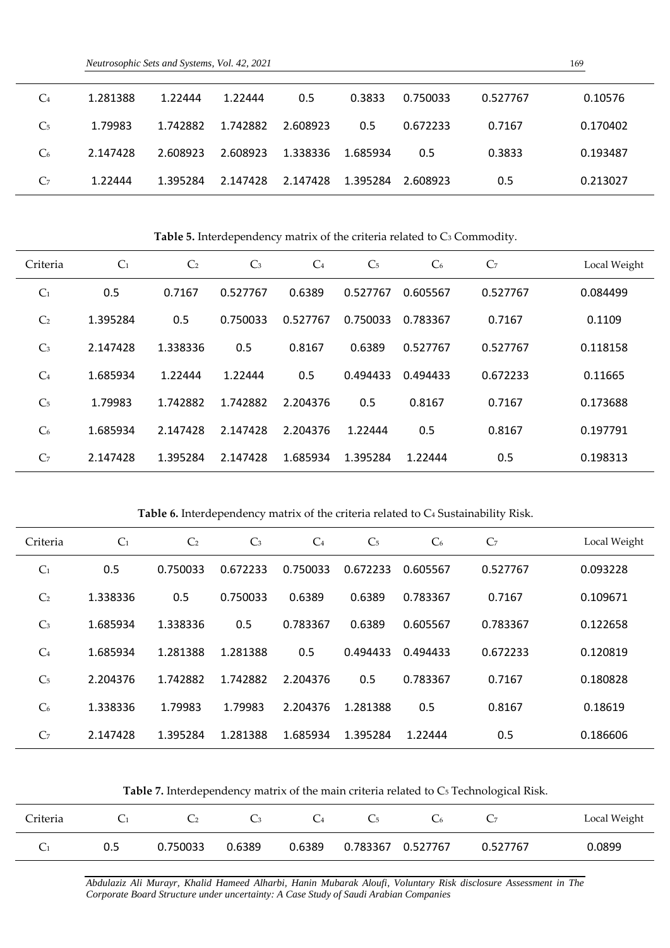| $C_4$          | 1.281388 | 1.22444  | 1.22444  | 0.5      | 0.3833   | 0.750033 | 0.527767 | 0.10576  |  |
|----------------|----------|----------|----------|----------|----------|----------|----------|----------|--|
| C <sub>5</sub> | 1.79983  | 1.742882 | 1.742882 | 2.608923 | 0.5      | 0.672233 | 0.7167   | 0.170402 |  |
| C <sub>6</sub> | 2.147428 | 2.608923 | 2.608923 | 1.338336 | 1.685934 | 0.5      | 0.3833   | 0.193487 |  |
| C <sub>7</sub> | 1.22444  | 1.395284 | 2.147428 | 2.147428 | 1.395284 | 2.608923 | 0.5      | 0.213027 |  |

Table 5. Interdependency matrix of the criteria related to C<sub>3</sub> Commodity.

| Criteria       | C <sub>1</sub> | C <sub>2</sub> | $C_3$    | C <sub>4</sub> | C <sub>5</sub> | C <sub>6</sub> | C <sub>7</sub> | Local Weight |
|----------------|----------------|----------------|----------|----------------|----------------|----------------|----------------|--------------|
| C <sub>1</sub> | 0.5            | 0.7167         | 0.527767 | 0.6389         | 0.527767       | 0.605567       | 0.527767       | 0.084499     |
| C <sub>2</sub> | 1.395284       | 0.5            | 0.750033 | 0.527767       | 0.750033       | 0.783367       | 0.7167         | 0.1109       |
| C <sub>3</sub> | 2.147428       | 1.338336       | 0.5      | 0.8167         | 0.6389         | 0.527767       | 0.527767       | 0.118158     |
| C <sub>4</sub> | 1.685934       | 1.22444        | 1.22444  | 0.5            | 0.494433       | 0.494433       | 0.672233       | 0.11665      |
| C <sub>5</sub> | 1.79983        | 1.742882       | 1.742882 | 2.204376       | 0.5            | 0.8167         | 0.7167         | 0.173688     |
| C <sub>6</sub> | 1.685934       | 2.147428       | 2.147428 | 2.204376       | 1.22444        | 0.5            | 0.8167         | 0.197791     |
| C <sub>7</sub> | 2.147428       | 1.395284       | 2.147428 | 1.685934       | 1.395284       | 1.22444        | 0.5            | 0.198313     |

Table 6. Interdependency matrix of the criteria related to C<sub>4</sub> Sustainability Risk.

| Criteria       | C <sub>1</sub> | C <sub>2</sub> | C <sub>3</sub> | C <sub>4</sub> | C <sub>5</sub> | C <sub>6</sub> | C <sub>7</sub> | Local Weight |
|----------------|----------------|----------------|----------------|----------------|----------------|----------------|----------------|--------------|
| C <sub>1</sub> | 0.5            | 0.750033       | 0.672233       | 0.750033       | 0.672233       | 0.605567       | 0.527767       | 0.093228     |
| C <sub>2</sub> | 1.338336       | 0.5            | 0.750033       | 0.6389         | 0.6389         | 0.783367       | 0.7167         | 0.109671     |
| C <sub>3</sub> | 1.685934       | 1.338336       | 0.5            | 0.783367       | 0.6389         | 0.605567       | 0.783367       | 0.122658     |
| C <sub>4</sub> | 1.685934       | 1.281388       | 1.281388       | 0.5            | 0.494433       | 0.494433       | 0.672233       | 0.120819     |
| C <sub>5</sub> | 2.204376       | 1.742882       | 1.742882       | 2.204376       | 0.5            | 0.783367       | 0.7167         | 0.180828     |
| C <sub>6</sub> | 1.338336       | 1.79983        | 1.79983        | 2.204376       | 1.281388       | 0.5            | 0.8167         | 0.18619      |
| C <sub>7</sub> | 2.147428       | 1.395284       | 1.281388       | 1.685934       | 1.395284       | 1.22444        | 0.5            | 0.186606     |

Table 7. Interdependency matrix of the main criteria related to C<sub>5</sub> Technological Risk.

| Criteria |     |          |        |        |                   |          | Local Weight |
|----------|-----|----------|--------|--------|-------------------|----------|--------------|
|          | 0.5 | 0.750033 | 0.6389 | 0.6389 | 0.783367 0.527767 | 0.527767 | 0.0899       |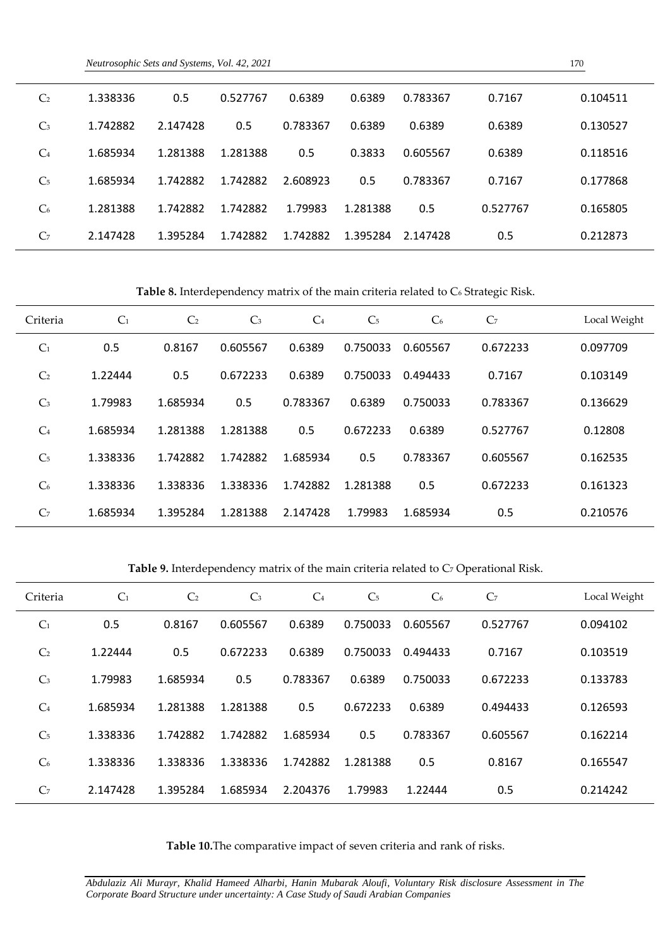| C <sub>2</sub> | 1.338336 | 0.5      | 0.527767 | 0.6389   | 0.6389   | 0.783367 | 0.7167   | 0.104511 |  |
|----------------|----------|----------|----------|----------|----------|----------|----------|----------|--|
| $C_3$          | 1.742882 | 2.147428 | 0.5      | 0.783367 | 0.6389   | 0.6389   | 0.6389   | 0.130527 |  |
| C <sub>4</sub> | 1.685934 | 1.281388 | 1.281388 | 0.5      | 0.3833   | 0.605567 | 0.6389   | 0.118516 |  |
| C <sub>5</sub> | 1.685934 | 1.742882 | 1.742882 | 2.608923 | 0.5      | 0.783367 | 0.7167   | 0.177868 |  |
| C <sub>6</sub> | 1.281388 | 1.742882 | 1.742882 | 1.79983  | 1.281388 | 0.5      | 0.527767 | 0.165805 |  |
| C <sub>7</sub> | 2.147428 | 1.395284 | 1.742882 | 1.742882 | 1.395284 | 2.147428 | 0.5      | 0.212873 |  |

Table 8. Interdependency matrix of the main criteria related to C<sub>6</sub> Strategic Risk.

| Criteria       | C <sub>1</sub> | C <sub>2</sub> | C <sub>3</sub> | C <sub>4</sub> | C <sub>5</sub> | C <sub>6</sub> | C <sub>7</sub> | Local Weight |
|----------------|----------------|----------------|----------------|----------------|----------------|----------------|----------------|--------------|
| C <sub>1</sub> | 0.5            | 0.8167         | 0.605567       | 0.6389         | 0.750033       | 0.605567       | 0.672233       | 0.097709     |
| C <sub>2</sub> | 1.22444        | 0.5            | 0.672233       | 0.6389         | 0.750033       | 0.494433       | 0.7167         | 0.103149     |
| C <sub>3</sub> | 1.79983        | 1.685934       | 0.5            | 0.783367       | 0.6389         | 0.750033       | 0.783367       | 0.136629     |
| C <sub>4</sub> | 1.685934       | 1.281388       | 1.281388       | 0.5            | 0.672233       | 0.6389         | 0.527767       | 0.12808      |
| C <sub>5</sub> | 1.338336       | 1.742882       | 1.742882       | 1.685934       | 0.5            | 0.783367       | 0.605567       | 0.162535     |
| C <sub>6</sub> | 1.338336       | 1.338336       | 1.338336       | 1.742882       | 1.281388       | 0.5            | 0.672233       | 0.161323     |
| C <sub>7</sub> | 1.685934       | 1.395284       | 1.281388       | 2.147428       | 1.79983        | 1.685934       | 0.5            | 0.210576     |

Table 9. Interdependency matrix of the main criteria related to C<sub>7</sub> Operational Risk.

| Criteria       | C <sub>1</sub> | C <sub>2</sub> | C <sub>3</sub> | C <sub>4</sub> | C <sub>5</sub> | C <sub>6</sub> | C <sub>7</sub> | Local Weight |
|----------------|----------------|----------------|----------------|----------------|----------------|----------------|----------------|--------------|
| C <sub>1</sub> | 0.5            | 0.8167         | 0.605567       | 0.6389         | 0.750033       | 0.605567       | 0.527767       | 0.094102     |
| C <sub>2</sub> | 1.22444        | 0.5            | 0.672233       | 0.6389         | 0.750033       | 0.494433       | 0.7167         | 0.103519     |
| C <sub>3</sub> | 1.79983        | 1.685934       | 0.5            | 0.783367       | 0.6389         | 0.750033       | 0.672233       | 0.133783     |
| C <sub>4</sub> | 1.685934       | 1.281388       | 1.281388       | 0.5            | 0.672233       | 0.6389         | 0.494433       | 0.126593     |
| C <sub>5</sub> | 1.338336       | 1.742882       | 1.742882       | 1.685934       | 0.5            | 0.783367       | 0.605567       | 0.162214     |
| C <sub>6</sub> | 1.338336       | 1.338336       | 1.338336       | 1.742882       | 1.281388       | 0.5            | 0.8167         | 0.165547     |
| C <sub>7</sub> | 2.147428       | 1.395284       | 1.685934       | 2.204376       | 1.79983        | 1.22444        | 0.5            | 0.214242     |

**Table 10.**The comparative impact of seven criteria and rank of risks.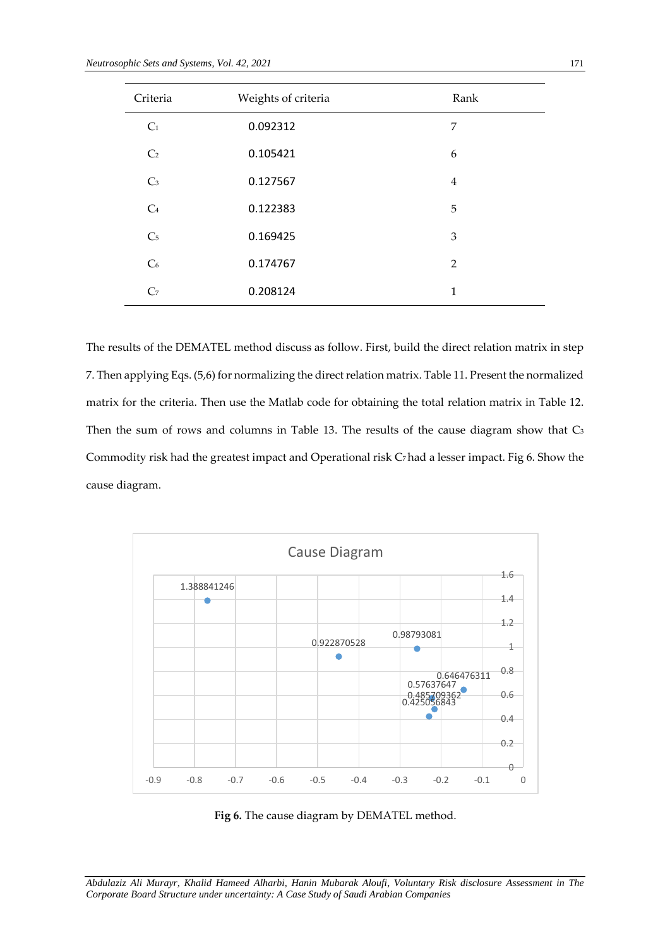| Criteria       | Weights of criteria | Rank           |
|----------------|---------------------|----------------|
| C <sub>1</sub> | 0.092312            | 7              |
| C <sub>2</sub> | 0.105421            | 6              |
| C <sub>3</sub> | 0.127567            | $\overline{4}$ |
| C <sub>4</sub> | 0.122383            | 5              |
| C <sub>5</sub> | 0.169425            | 3              |
| C <sub>6</sub> | 0.174767            | $\overline{2}$ |
| C <sub>7</sub> | 0.208124            | 1              |

The results of the DEMATEL method discuss as follow. First, build the direct relation matrix in step 7. Then applying Eqs. (5,6) for normalizing the direct relation matrix. Table 11. Present the normalized matrix for the criteria. Then use the Matlab code for obtaining the total relation matrix in Table 12. Then the sum of rows and columns in Table 13. The results of the cause diagram show that C<sub>3</sub> Commodity risk had the greatest impact and Operational risk C7had a lesser impact. Fig 6. Show the cause diagram.



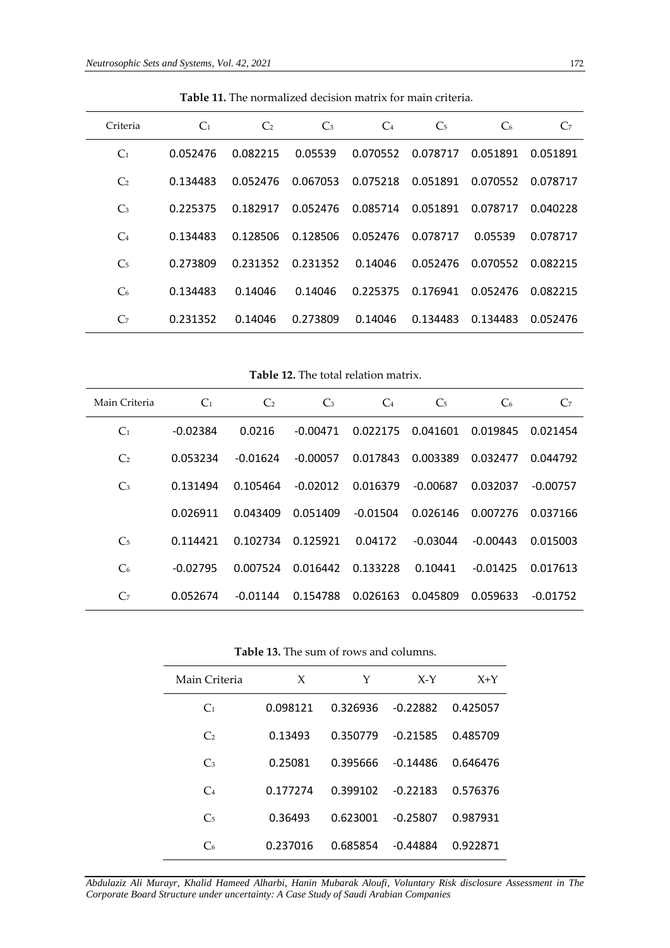| Criteria       | C <sub>1</sub> | C <sub>2</sub> | $\mathbb{C}_3$ | $C_4$    | C <sub>5</sub> | C <sub>6</sub> | C <sub>7</sub> |
|----------------|----------------|----------------|----------------|----------|----------------|----------------|----------------|
| C <sub>1</sub> | 0.052476       | 0.082215       | 0.05539        | 0.070552 | 0.078717       | 0.051891       | 0.051891       |
| C <sub>2</sub> | 0.134483       | 0.052476       | 0.067053       | 0.075218 | 0.051891       | 0.070552       | 0.078717       |
| $\mathbb{C}_3$ | 0.225375       | 0.182917       | 0.052476       | 0.085714 | 0.051891       | 0.078717       | 0.040228       |
| $C_4$          | 0.134483       | 0.128506       | 0.128506       | 0.052476 | 0.078717       | 0.05539        | 0.078717       |
| C <sub>5</sub> | 0.273809       | 0.231352       | 0.231352       | 0.14046  | 0.052476       | 0.070552       | 0.082215       |
| C <sub>6</sub> | 0.134483       | 0.14046        | 0.14046        | 0.225375 | 0.176941       | 0.052476       | 0.082215       |
| C <sub>7</sub> | 0.231352       | 0.14046        | 0.273809       | 0.14046  | 0.134483       | 0.134483       | 0.052476       |

**Table 11.** The normalized decision matrix for main criteria.

**Table 12.** The total relation matrix.

| Main Criteria  | C <sub>1</sub> | C <sub>2</sub> | $C_3$      | $C_4$    | C <sub>5</sub> | C <sub>6</sub> | C <sub>7</sub>    |
|----------------|----------------|----------------|------------|----------|----------------|----------------|-------------------|
| C <sub>1</sub> | $-0.02384$     | 0.0216         | $-0.00471$ | 0.022175 | 0.041601       |                | 0.019845 0.021454 |
| C <sub>2</sub> | 0.053234       | $-0.01624$     | $-0.00057$ | 0.017843 | 0.003389       | 0.032477       | 0.044792          |
| $\mathbb{C}_3$ | 0.131494       | 0.105464       | $-0.02012$ | 0.016379 | $-0.00687$     | 0.032037       | -0.00757          |
|                | 0.026911       | 0.043409       | 0.051409   | -0.01504 | 0.026146       | 0.007276       | 0.037166          |
| C <sub>5</sub> | 0.114421       | 0.102734       | 0.125921   | 0.04172  | $-0.03044$     | $-0.00443$     | 0.015003          |
| C <sub>6</sub> | $-0.02795$     | 0.007524       | 0.016442   | 0.133228 | 0.10441        | $-0.01425$     | 0.017613          |
| C <sub>7</sub> | 0.052674       | $-0.01144$     | 0.154788   | 0.026163 | 0.045809       | 0.059633       | -0.01752          |

**Table 13.** The sum of rows and columns.

| Main Criteria  | X        | Υ        | $X-Y$      | $X+Y$    |
|----------------|----------|----------|------------|----------|
| C <sub>1</sub> | 0.098121 | 0.326936 | $-0.22882$ | 0.425057 |
| C <sub>2</sub> | 0.13493  | 0.350779 | $-0.21585$ | 0.485709 |
| $C_3$          | 0.25081  | 0.395666 | $-0.14486$ | 0.646476 |
| $C_4$          | 0.177274 | 0.399102 | $-0.22183$ | 0.576376 |
| C <sub>5</sub> | 0.36493  | 0.623001 | $-0.25807$ | 0.987931 |
| $C_{\rm 6}$    | 0.237016 | 0.685854 | $-0.44884$ | 0.922871 |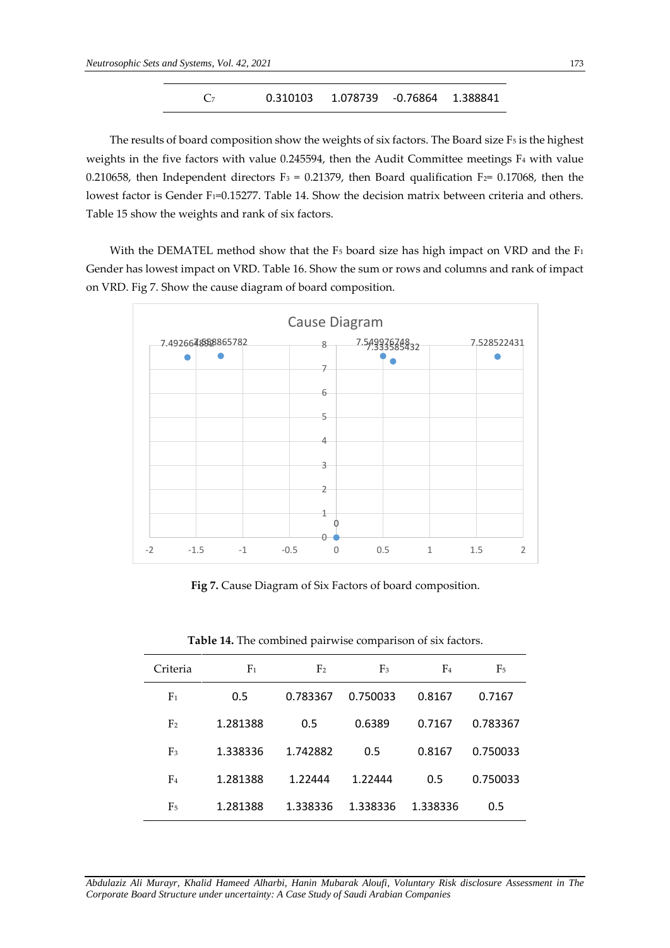$$
C_7
$$
 0.310103 1.078739 -0.76864 1.388841

The results of board composition show the weights of six factors. The Board size F5 is the highest weights in the five factors with value 0.245594, then the Audit Committee meetings F<sup>4</sup> with value 0.210658, then Independent directors  $F_3 = 0.21379$ , then Board qualification  $F_2 = 0.17068$ , then the lowest factor is Gender F<sub>1</sub>=0.15277. Table 14. Show the decision matrix between criteria and others. Table 15 show the weights and rank of six factors.

With the DEMATEL method show that the  $F_5$  board size has high impact on VRD and the  $F_1$ Gender has lowest impact on VRD. Table 16. Show the sum or rows and columns and rank of impact on VRD. Fig 7. Show the cause diagram of board composition.



**Fig 7.** Cause Diagram of Six Factors of board composition.

| Criteria       | F <sub>1</sub> | F <sub>2</sub> | F <sub>3</sub> | F <sub>4</sub> | F5       |
|----------------|----------------|----------------|----------------|----------------|----------|
| F <sub>1</sub> | 0.5            | 0.783367       | 0.750033       | 0.8167         | 0.7167   |
| F <sub>2</sub> | 1.281388       | 0.5            | 0.6389         | 0.7167         | 0.783367 |
| F <sub>3</sub> | 1.338336       | 1.742882       | 0.5            | 0.8167         | 0.750033 |
| F <sub>4</sub> | 1.281388       | 1.22444        | 1.22444        | 0.5            | 0.750033 |
| F <sub>5</sub> | 1.281388       | 1.338336       | 1.338336       | 1.338336       | 0.5      |

**Table 14.** The combined pairwise comparison of six factors.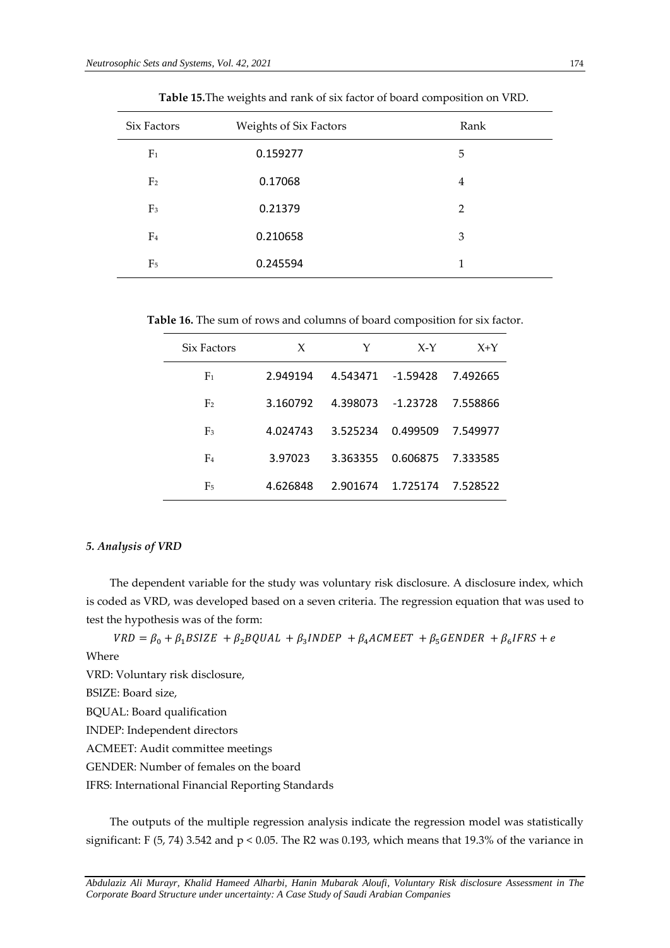| Six Factors    | <b>Weights of Six Factors</b> | Rank           |
|----------------|-------------------------------|----------------|
| F <sub>1</sub> | 0.159277                      | 5              |
| F <sub>2</sub> | 0.17068                       | $\overline{4}$ |
| F <sub>3</sub> | 0.21379                       | 2              |
| F <sub>4</sub> | 0.210658                      | 3              |
| F <sub>5</sub> | 0.245594                      | 1              |

**Table 15.**The weights and rank of six factor of board composition on VRD.

**Table 16.** The sum of rows and columns of board composition for six factor.

| Six Factors    | X        | Y        | $X-Y$      | $X+Y$    |
|----------------|----------|----------|------------|----------|
| F <sub>1</sub> | 2.949194 | 4.543471 | $-1.59428$ | 7.492665 |
| F <sub>2</sub> | 3.160792 | 4.398073 | $-1.23728$ | 7.558866 |
| F <sub>3</sub> | 4.024743 | 3.525234 | 0.499509   | 7.549977 |
| F <sub>4</sub> | 3.97023  | 3.363355 | 0.606875   | 7.333585 |
| F <sub>5</sub> | 4.626848 | 2.901674 | 1.725174   | 7.528522 |

# *5. Analysis of VRD*

The dependent variable for the study was voluntary risk disclosure. A disclosure index, which is coded as VRD, was developed based on a seven criteria. The regression equation that was used to test the hypothesis was of the form:

 $VRD = \beta_0 + \beta_1 BSIZE + \beta_2 BQUAL + \beta_3 INDEPEND + \beta_4 ACMEET + \beta_5 GENDER + \beta_6 IFRS + e$ 

Where

VRD: Voluntary risk disclosure,

BSIZE: Board size,

BQUAL: Board qualification

INDEP: Independent directors

ACMEET: Audit committee meetings

GENDER: Number of females on the board

IFRS: International Financial Reporting Standards

The outputs of the multiple regression analysis indicate the regression model was statistically significant: F (5, 74) 3.542 and p < 0.05. The R2 was 0.193, which means that 19.3% of the variance in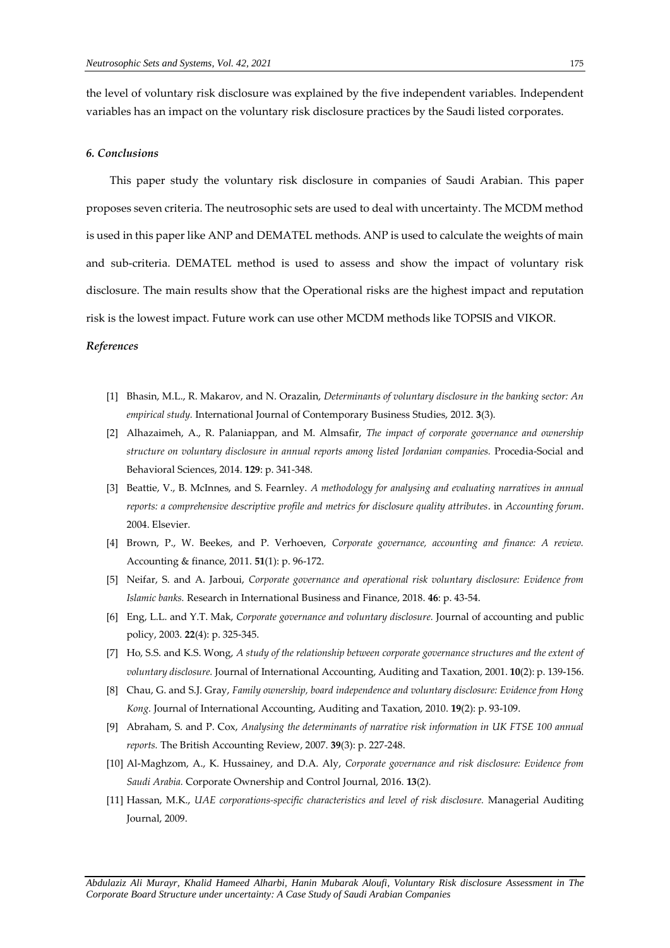the level of voluntary risk disclosure was explained by the five independent variables. Independent variables has an impact on the voluntary risk disclosure practices by the Saudi listed corporates.

# *6. Conclusions*

This paper study the voluntary risk disclosure in companies of Saudi Arabian. This paper proposes seven criteria. The neutrosophic sets are used to deal with uncertainty. The MCDM method is used in this paper like ANP and DEMATEL methods. ANP is used to calculate the weights of main and sub-criteria. DEMATEL method is used to assess and show the impact of voluntary risk disclosure. The main results show that the Operational risks are the highest impact and reputation risk is the lowest impact. Future work can use other MCDM methods like TOPSIS and VIKOR.

#### *References*

- [1] Bhasin, M.L., R. Makarov, and N. Orazalin, *Determinants of voluntary disclosure in the banking sector: An empirical study.* International Journal of Contemporary Business Studies, 2012. **3**(3).
- [2] Alhazaimeh, A., R. Palaniappan, and M. Almsafir, *The impact of corporate governance and ownership structure on voluntary disclosure in annual reports among listed Jordanian companies.* Procedia-Social and Behavioral Sciences, 2014. **129**: p. 341-348.
- [3] Beattie, V., B. McInnes, and S. Fearnley. *A methodology for analysing and evaluating narratives in annual reports: a comprehensive descriptive profile and metrics for disclosure quality attributes*. in *Accounting forum*. 2004. Elsevier.
- [4] Brown, P., W. Beekes, and P. Verhoeven, *Corporate governance, accounting and finance: A review.* Accounting & finance, 2011. **51**(1): p. 96-172.
- [5] Neifar, S. and A. Jarboui, *Corporate governance and operational risk voluntary disclosure: Evidence from Islamic banks.* Research in International Business and Finance, 2018. **46**: p. 43-54.
- [6] Eng, L.L. and Y.T. Mak, *Corporate governance and voluntary disclosure.* Journal of accounting and public policy, 2003. **22**(4): p. 325-345.
- [7] Ho, S.S. and K.S. Wong, *A study of the relationship between corporate governance structures and the extent of voluntary disclosure.* Journal of International Accounting, Auditing and Taxation, 2001. **10**(2): p. 139-156.
- [8] Chau, G. and S.J. Gray, *Family ownership, board independence and voluntary disclosure: Evidence from Hong Kong.* Journal of International Accounting, Auditing and Taxation, 2010. **19**(2): p. 93-109.
- [9] Abraham, S. and P. Cox, *Analysing the determinants of narrative risk information in UK FTSE 100 annual reports.* The British Accounting Review, 2007. **39**(3): p. 227-248.
- [10] Al-Maghzom, A., K. Hussainey, and D.A. Aly, *Corporate governance and risk disclosure: Evidence from Saudi Arabia.* Corporate Ownership and Control Journal, 2016. **13**(2).
- [11] Hassan, M.K., *UAE corporations‐specific characteristics and level of risk disclosure.* Managerial Auditing Journal, 2009.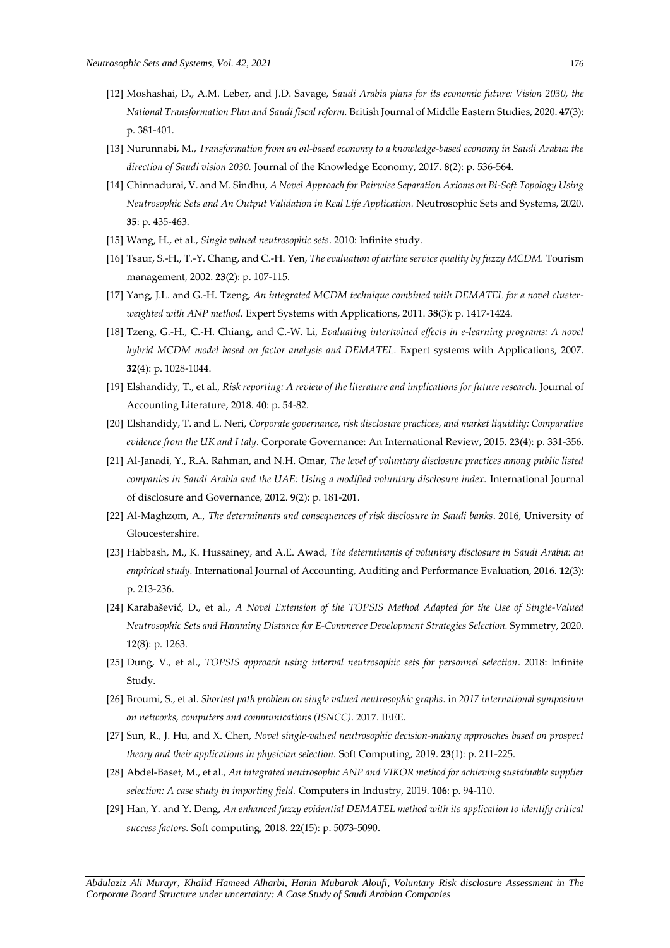- [12] Moshashai, D., A.M. Leber, and J.D. Savage, *Saudi Arabia plans for its economic future: Vision 2030, the National Transformation Plan and Saudi fiscal reform.* British Journal of Middle Eastern Studies, 2020. **47**(3): p. 381-401.
- [13] Nurunnabi, M., *Transformation from an oil-based economy to a knowledge-based economy in Saudi Arabia: the direction of Saudi vision 2030.* Journal of the Knowledge Economy, 2017. **8**(2): p. 536-564.
- [14] Chinnadurai, V. and M. Sindhu, *A Novel Approach for Pairwise Separation Axioms on Bi-Soft Topology Using Neutrosophic Sets and An Output Validation in Real Life Application.* Neutrosophic Sets and Systems, 2020. **35**: p. 435-463.
- [15] Wang, H., et al., *Single valued neutrosophic sets*. 2010: Infinite study.
- [16] Tsaur, S.-H., T.-Y. Chang, and C.-H. Yen, *The evaluation of airline service quality by fuzzy MCDM.* Tourism management, 2002. **23**(2): p. 107-115.
- [17] Yang, J.L. and G.-H. Tzeng, *An integrated MCDM technique combined with DEMATEL for a novel clusterweighted with ANP method.* Expert Systems with Applications, 2011. **38**(3): p. 1417-1424.
- [18] Tzeng, G.-H., C.-H. Chiang, and C.-W. Li, *Evaluating intertwined effects in e-learning programs: A novel hybrid MCDM model based on factor analysis and DEMATEL.* Expert systems with Applications, 2007. **32**(4): p. 1028-1044.
- [19] Elshandidy, T., et al., *Risk reporting: A review of the literature and implications for future research.* Journal of Accounting Literature, 2018. **40**: p. 54-82.
- [20] Elshandidy, T. and L. Neri, *Corporate governance, risk disclosure practices, and market liquidity: Comparative evidence from the UK and I taly.* Corporate Governance: An International Review, 2015. **23**(4): p. 331-356.
- [21] Al-Janadi, Y., R.A. Rahman, and N.H. Omar, *The level of voluntary disclosure practices among public listed companies in Saudi Arabia and the UAE: Using a modified voluntary disclosure index.* International Journal of disclosure and Governance, 2012. **9**(2): p. 181-201.
- [22] Al-Maghzom, A., *The determinants and consequences of risk disclosure in Saudi banks*. 2016, University of Gloucestershire.
- [23] Habbash, M., K. Hussainey, and A.E. Awad, *The determinants of voluntary disclosure in Saudi Arabia: an empirical study.* International Journal of Accounting, Auditing and Performance Evaluation, 2016. **12**(3): p. 213-236.
- [24] Karabašević, D., et al., *A Novel Extension of the TOPSIS Method Adapted for the Use of Single-Valued Neutrosophic Sets and Hamming Distance for E-Commerce Development Strategies Selection.* Symmetry, 2020. **12**(8): p. 1263.
- [25] Dung, V., et al., *TOPSIS approach using interval neutrosophic sets for personnel selection*. 2018: Infinite Study.
- [26] Broumi, S., et al. *Shortest path problem on single valued neutrosophic graphs*. in *2017 international symposium on networks, computers and communications (ISNCC)*. 2017. IEEE.
- [27] Sun, R., J. Hu, and X. Chen, *Novel single-valued neutrosophic decision-making approaches based on prospect theory and their applications in physician selection.* Soft Computing, 2019. **23**(1): p. 211-225.
- [28] Abdel-Baset, M., et al., *An integrated neutrosophic ANP and VIKOR method for achieving sustainable supplier selection: A case study in importing field.* Computers in Industry, 2019. **106**: p. 94-110.
- [29] Han, Y. and Y. Deng, *An enhanced fuzzy evidential DEMATEL method with its application to identify critical success factors.* Soft computing, 2018. **22**(15): p. 5073-5090.